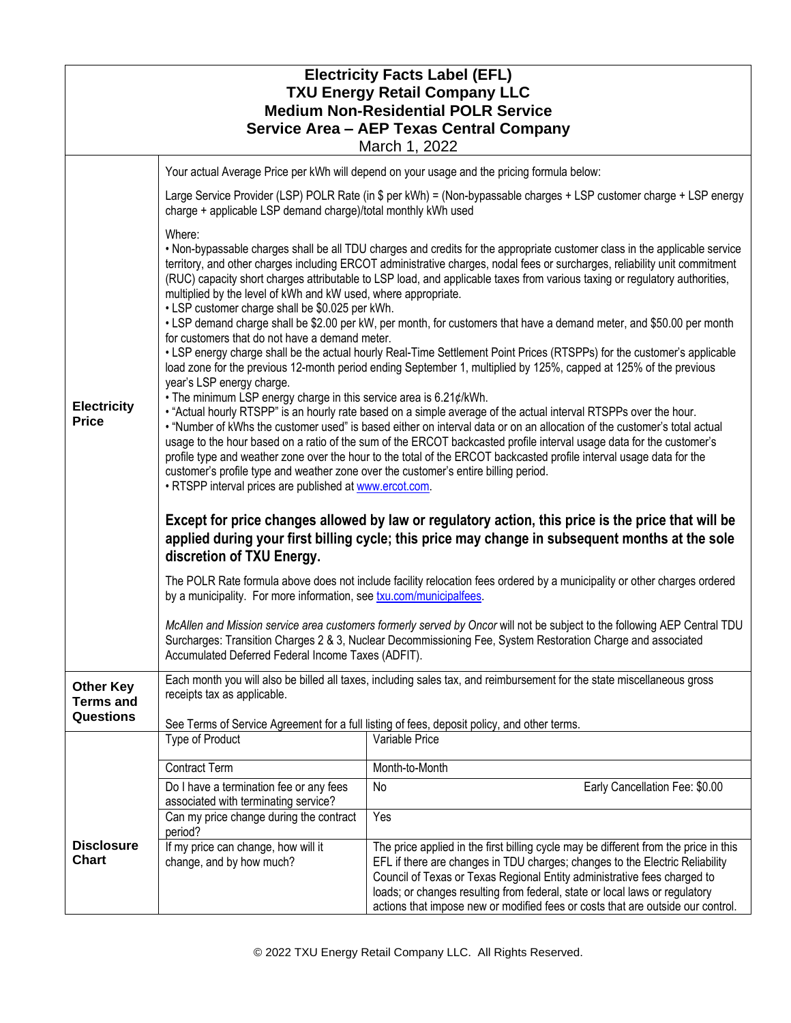| <b>Electricity Facts Label (EFL)</b><br><b>TXU Energy Retail Company LLC</b><br><b>Medium Non-Residential POLR Service</b><br>Service Area - AEP Texas Central Company<br>March 1, 2022 |                                                                                                                                                                                                                                                                                                                                                                                                                                                                                                                                                                                                                                                                                                                      |                                                                                                                                                                                                                                                                                                                                                                                                                    |  |  |
|-----------------------------------------------------------------------------------------------------------------------------------------------------------------------------------------|----------------------------------------------------------------------------------------------------------------------------------------------------------------------------------------------------------------------------------------------------------------------------------------------------------------------------------------------------------------------------------------------------------------------------------------------------------------------------------------------------------------------------------------------------------------------------------------------------------------------------------------------------------------------------------------------------------------------|--------------------------------------------------------------------------------------------------------------------------------------------------------------------------------------------------------------------------------------------------------------------------------------------------------------------------------------------------------------------------------------------------------------------|--|--|
|                                                                                                                                                                                         |                                                                                                                                                                                                                                                                                                                                                                                                                                                                                                                                                                                                                                                                                                                      | Your actual Average Price per kWh will depend on your usage and the pricing formula below:                                                                                                                                                                                                                                                                                                                         |  |  |
| <b>Electricity</b><br><b>Price</b>                                                                                                                                                      | Large Service Provider (LSP) POLR Rate (in \$ per kWh) = (Non-bypassable charges + LSP customer charge + LSP energy<br>charge + applicable LSP demand charge)/total monthly kWh used                                                                                                                                                                                                                                                                                                                                                                                                                                                                                                                                 |                                                                                                                                                                                                                                                                                                                                                                                                                    |  |  |
|                                                                                                                                                                                         | Where:<br>. Non-bypassable charges shall be all TDU charges and credits for the appropriate customer class in the applicable service<br>territory, and other charges including ERCOT administrative charges, nodal fees or surcharges, reliability unit commitment<br>(RUC) capacity short charges attributable to LSP load, and applicable taxes from various taxing or regulatory authorities,<br>multiplied by the level of kWh and kW used, where appropriate.<br>• LSP customer charge shall be \$0.025 per kWh.<br>• LSP demand charge shall be \$2.00 per kW, per month, for customers that have a demand meter, and \$50.00 per month<br>for customers that do not have a demand meter.                      |                                                                                                                                                                                                                                                                                                                                                                                                                    |  |  |
|                                                                                                                                                                                         | • LSP energy charge shall be the actual hourly Real-Time Settlement Point Prices (RTSPPs) for the customer's applicable<br>load zone for the previous 12-month period ending September 1, multiplied by 125%, capped at 125% of the previous<br>year's LSP energy charge.                                                                                                                                                                                                                                                                                                                                                                                                                                            |                                                                                                                                                                                                                                                                                                                                                                                                                    |  |  |
|                                                                                                                                                                                         | • The minimum LSP energy charge in this service area is 6.21¢/kWh.<br>• "Actual hourly RTSPP" is an hourly rate based on a simple average of the actual interval RTSPPs over the hour.<br>. "Number of kWhs the customer used" is based either on interval data or on an allocation of the customer's total actual<br>usage to the hour based on a ratio of the sum of the ERCOT backcasted profile interval usage data for the customer's<br>profile type and weather zone over the hour to the total of the ERCOT backcasted profile interval usage data for the<br>customer's profile type and weather zone over the customer's entire billing period.<br>. RTSPP interval prices are published at www.ercot.com. |                                                                                                                                                                                                                                                                                                                                                                                                                    |  |  |
|                                                                                                                                                                                         | Except for price changes allowed by law or regulatory action, this price is the price that will be<br>applied during your first billing cycle; this price may change in subsequent months at the sole<br>discretion of TXU Energy.                                                                                                                                                                                                                                                                                                                                                                                                                                                                                   |                                                                                                                                                                                                                                                                                                                                                                                                                    |  |  |
|                                                                                                                                                                                         | The POLR Rate formula above does not include facility relocation fees ordered by a municipality or other charges ordered<br>by a municipality. For more information, see txu.com/municipalfees.                                                                                                                                                                                                                                                                                                                                                                                                                                                                                                                      |                                                                                                                                                                                                                                                                                                                                                                                                                    |  |  |
|                                                                                                                                                                                         | McAllen and Mission service area customers formerly served by Oncor will not be subject to the following AEP Central TDU<br>Surcharges: Transition Charges 2 & 3, Nuclear Decommissioning Fee, System Restoration Charge and associated<br>Accumulated Deferred Federal Income Taxes (ADFIT).                                                                                                                                                                                                                                                                                                                                                                                                                        |                                                                                                                                                                                                                                                                                                                                                                                                                    |  |  |
| <b>Other Key</b><br><b>Terms and</b><br><b>Questions</b>                                                                                                                                | Each month you will also be billed all taxes, including sales tax, and reimbursement for the state miscellaneous gross<br>receipts tax as applicable.                                                                                                                                                                                                                                                                                                                                                                                                                                                                                                                                                                |                                                                                                                                                                                                                                                                                                                                                                                                                    |  |  |
|                                                                                                                                                                                         | See Terms of Service Agreement for a full listing of fees, deposit policy, and other terms.                                                                                                                                                                                                                                                                                                                                                                                                                                                                                                                                                                                                                          |                                                                                                                                                                                                                                                                                                                                                                                                                    |  |  |
|                                                                                                                                                                                         | Type of Product                                                                                                                                                                                                                                                                                                                                                                                                                                                                                                                                                                                                                                                                                                      | Variable Price                                                                                                                                                                                                                                                                                                                                                                                                     |  |  |
|                                                                                                                                                                                         | <b>Contract Term</b>                                                                                                                                                                                                                                                                                                                                                                                                                                                                                                                                                                                                                                                                                                 | Month-to-Month                                                                                                                                                                                                                                                                                                                                                                                                     |  |  |
|                                                                                                                                                                                         | Do I have a termination fee or any fees<br>associated with terminating service?                                                                                                                                                                                                                                                                                                                                                                                                                                                                                                                                                                                                                                      | Early Cancellation Fee: \$0.00<br>No                                                                                                                                                                                                                                                                                                                                                                               |  |  |
|                                                                                                                                                                                         | Can my price change during the contract<br>period?                                                                                                                                                                                                                                                                                                                                                                                                                                                                                                                                                                                                                                                                   | Yes                                                                                                                                                                                                                                                                                                                                                                                                                |  |  |
| <b>Disclosure</b><br><b>Chart</b>                                                                                                                                                       | If my price can change, how will it<br>change, and by how much?                                                                                                                                                                                                                                                                                                                                                                                                                                                                                                                                                                                                                                                      | The price applied in the first billing cycle may be different from the price in this<br>EFL if there are changes in TDU charges; changes to the Electric Reliability<br>Council of Texas or Texas Regional Entity administrative fees charged to<br>loads; or changes resulting from federal, state or local laws or regulatory<br>actions that impose new or modified fees or costs that are outside our control. |  |  |